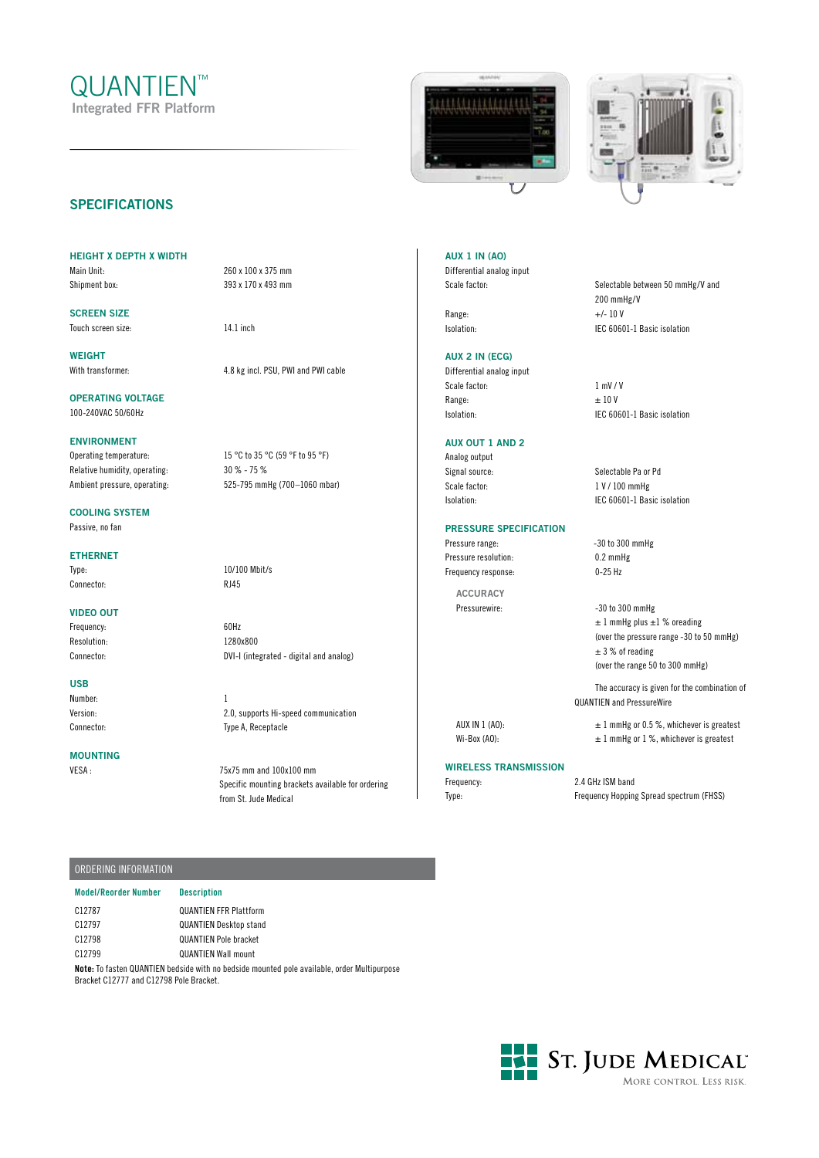





# **SPECIFICATIONS**

Height x depth x width Main Unit: 260 x 100 x 375 mm Shipment box: 393 x 170 x 493 mm

Screen size Touch screen size: 14.1 inch

**WEIGHT** 

With transformer: 4.8 kg incl. PSU, PWI and PWI cable

Operating voltage 100-240VAC 50/60Hz

### Environment

Operating temperature: 15 °C to 35 °C (59 °F to 95 °F) Relative humidity, operating: 30 % - 75 % Ambient pressure, operating: 525-795 mmHg (700–1060 mbar)

Cooling system Passive, no fan

Ethernet Connector: RJ45

## Video out

Frequency: 60Hz Resolution: 1280x800

USB Number: 1

**MOUNTING** 

Type: 10/100 Mbit/s

Connector: DVI-I (integrated - digital and analog)

Version: 2.0, supports Hi-speed communication Connector: Type A, Receptacle

VESA : 75x75 mm and 100x100 mm Specific mounting brackets available for ordering from St. Jude Medical

AUX 1 in (AO)

Differential analog input

#### AUX 2 in (ECG)

Differential analog input Scale factor: 1 mV / V Range:  $+ 10 V$ 

# AUX out 1 and 2

Analog output Signal source: Selectable Pa or Pd Scale factor: 1 V / 100 mmHg

#### Pressure specification

Pressure range:  $-30$  to 300 mmHg Pressure resolution: 0.2 mmHg Frequency response: 0-25 Hz

accuracy Pressurewire:  $-30$  to 300 mmHg

Scale factor: Scale factor: Selectable between 50 mmHg/V and 200 mmHg/V Range:  $+/- 10 \text{ V}$ Isolation: IEC 60601-1 Basic isolation

Isolation: IEC 60601-1 Basic isolation

Isolation: IEC 60601-1 Basic isolation

 $± 1$  mmHg plus  $±1$  % oreading (over the pressure range -30 to 50 mmHg)  $±$  3 % of reading (over the range 50 to 300 mmHg)

 The accuracy is given for the combination of QUANTIEN and PressureWire

AUX IN 1 (AO):  $\pm 1$  mmHg or 0.5 %, whichever is greatest Wi-Box (AO):  $\pm 1$  mmHg or 1 %, whichever is greatest

#### Wireless transmission

Frequency: 2.4 GHz ISM band Type: Frequency Hopping Spread spectrum (FHSS)

#### Ordering Information

| MOUGH NGOLUGI NUMBOL | <b>DESCHIPHON</b>             |
|----------------------|-------------------------------|
| C <sub>12787</sub>   | <b>QUANTIEN FFR Plattform</b> |
| C <sub>12797</sub>   | <b>QUANTIEN Desktop stand</b> |
| C12798               | <b>QUANTIEN Pole bracket</b>  |
| C <sub>12799</sub>   | <b>QUANTIEN Wall mount</b>    |

Model/Reorder Number Description

Note: To fasten QUANTIEN bedside with no bedside mounted pole available, order Multipurpose Bracket C12777 and C12798 Pole Bracket.